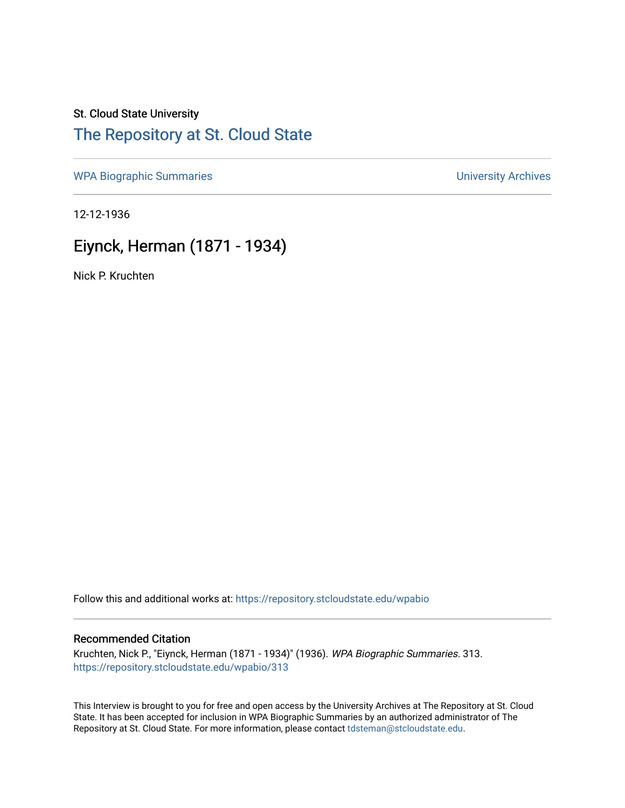# St. Cloud State University [The Repository at St. Cloud State](https://repository.stcloudstate.edu/)

[WPA Biographic Summaries](https://repository.stcloudstate.edu/wpabio) **WPA Biographic Summaries University Archives** 

12-12-1936

# Eiynck, Herman (1871 - 1934)

Nick P. Kruchten

Follow this and additional works at: [https://repository.stcloudstate.edu/wpabio](https://repository.stcloudstate.edu/wpabio?utm_source=repository.stcloudstate.edu%2Fwpabio%2F313&utm_medium=PDF&utm_campaign=PDFCoverPages) 

### Recommended Citation

Kruchten, Nick P., "Eiynck, Herman (1871 - 1934)" (1936). WPA Biographic Summaries. 313. [https://repository.stcloudstate.edu/wpabio/313](https://repository.stcloudstate.edu/wpabio/313?utm_source=repository.stcloudstate.edu%2Fwpabio%2F313&utm_medium=PDF&utm_campaign=PDFCoverPages) 

This Interview is brought to you for free and open access by the University Archives at The Repository at St. Cloud State. It has been accepted for inclusion in WPA Biographic Summaries by an authorized administrator of The Repository at St. Cloud State. For more information, please contact [tdsteman@stcloudstate.edu.](mailto:tdsteman@stcloudstate.edu)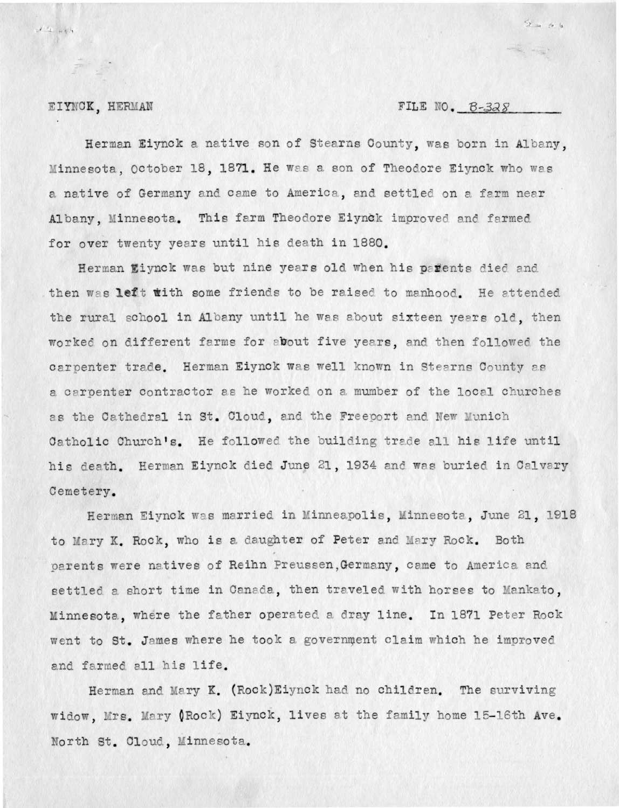#### FILE NO. B-328

 $2 = 66$ 

### EIYNCK, HERMAN

 $1/4 - 685$ 

Herman Eiynck a native son of Stearns County, was born in Albany, Minnesota, October 18, 1871. He was a son of Theodore Eiynck who was a native of Germany and came to America, and settled on a farm near Albany, Minnesota. This farm Theodore Eiynck improved and farmed for over twenty years until his death in 1880.

Herman Eiynck was but nine years old when his paffents died and then was left with some friends to be raised to manhood. He attended the rural school in Albany until he was about sixteen years old, then worked on different farms for about five years, and then followed the carpenter trade. Herman Eiynck was well known in Stearns County as a carpenter contractor as he worked on a mumber of the local churches as the Cathedral in St. Cloud, and the Freeport and New Munich Catholic Church's. He followed the building trade all his life until his death. Herman Eiynck died June 21, 1934 and was buried in Calvary Cemetery.

Herman Eiynck was married in Minneapolis, Minnesota, June 21, 1918 to Mary K. Rock, who is a daughter of Peter and Mary Rock. Both parents were natives of Reihn Preussen, Germany, came to America and settled a short time in Canada, then traveled with horses to Mankato, Minnesota, where the father operated a dray line. In 1871 Peter Rock went to St. James where he took a government claim which he improved and farmed all his life.

Herman and Mary K. (Rock) Eiynck had no children. The surviving widow, Mrs. Mary (Rock) Eiynck, lives at the family home 15-16th Ave. North St. Cloud, Minnesota.